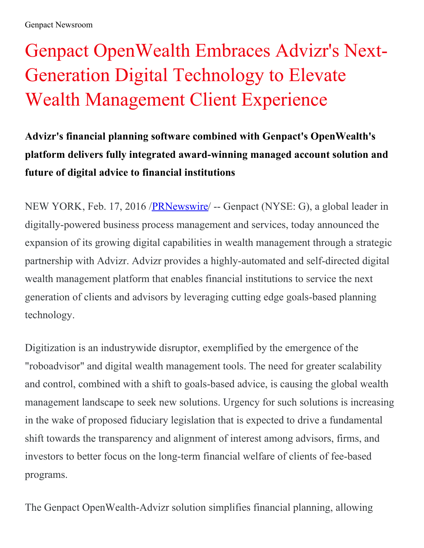## Genpact OpenWealth Embraces Advizr's Next-Generation Digital Technology to Elevate Wealth Management Client Experience

**Advizr's financial planning software combined with Genpact's OpenWealth's platform delivers fully integrated award-winning managed account solution and future of digital advice to financial institutions**

NEW YORK, Feb. 17, 2016 /**PRNewswire** -- Genpact (NYSE: G), a global leader in digitally-powered business process management and services, today announced the expansion of its growing digital capabilities in wealth management through a strategic partnership with Advizr. Advizr provides a highly-automated and self-directed digital wealth management platform that enables financial institutions to service the next generation of clients and advisors by leveraging cutting edge goals-based planning technology.

Digitization is an industrywide disruptor, exemplified by the emergence of the "roboadvisor" and digital wealth management tools. The need for greater scalability and control, combined with a shift to goals-based advice, is causing the global wealth management landscape to seek new solutions. Urgency for such solutions is increasing in the wake of proposed fiduciary legislation that is expected to drive a fundamental shift towards the transparency and alignment of interest among advisors, firms, and investors to better focus on the long-term financial welfare of clients of fee-based programs.

The Genpact OpenWealth-Advizr solution simplifies financial planning, allowing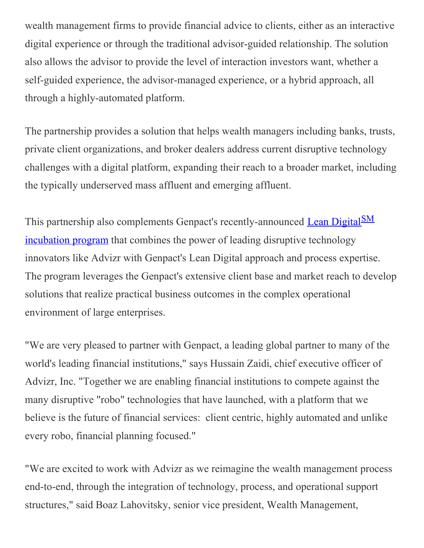wealth management firms to provide financial advice to clients, either as an interactive digital experience or through the traditional advisor-guided relationship. The solution also allows the advisor to provide the level of interaction investors want, whether a self-guided experience, the advisor-managed experience, or a hybrid approach, all through a highly-automated platform.

The partnership provides a solution that helps wealth managers including banks, trusts, private client organizations, and broker dealers address current disruptive technology challenges with a digital platform, expanding their reach to a broader market, including the typically underserved mass affluent and emerging affluent.

This partnership also complements Genpact's [recently-announced](http://www.genpact.com/about-us/media/press-releases/2015-genpacts-incubation-program-helps-disruptive-tech-firms-generate-practical-impact-in-large-companies) Lean Digital<sup>SM</sup> incubation program that combines the power of leading disruptive technology innovators like Advizr with Genpact's Lean Digital approach and process expertise. The program leverages the Genpact's extensive client base and market reach to develop solutions that realize practical business outcomes in the complex operational environment of large enterprises.

"We are very pleased to partner with Genpact, a leading global partner to many of the world's leading financial institutions," says Hussain Zaidi, chief executive officer of Advizr, Inc. "Together we are enabling financial institutions to compete against the many disruptive "robo" technologies that have launched, with a platform that we believe is the future of financial services: client centric, highly automated and unlike every robo, financial planning focused."

"We are excited to work with Advizr as we reimagine the wealth management process end-to-end, through the integration of technology, process, and operational support structures," said Boaz Lahovitsky, senior vice president, Wealth Management,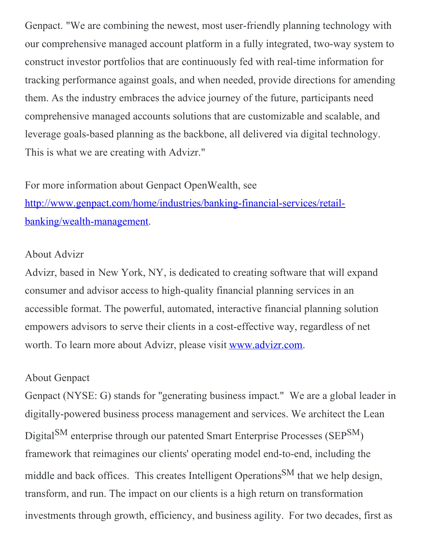Genpact. "We are combining the newest, most user-friendly planning technology with our comprehensive managed account platform in a fully integrated, two-way system to construct investor portfolios that are continuously fed with real-time information for tracking performance against goals, and when needed, provide directions for amending them. As the industry embraces the advice journey of the future, participants need comprehensive managed accounts solutions that are customizable and scalable, and leverage goals-based planning as the backbone, all delivered via digital technology. This is what we are creating with Advizr."

For more information about Genpact OpenWealth, see [http://www.genpact.com/home/industries/banking-financial-services/retail](http://www.genpact.com/home/industries/banking-financial-services/retail-banking/wealth-management)banking/wealth-management.

## About Advizr

Advizr, based in New York, NY, is dedicated to creating software that will expand consumer and advisor access to high-quality financial planning services in an accessible format. The powerful, automated, interactive financial planning solution empowers advisors to serve their clients in a cost-effective way, regardless of net worth. To learn more about Advizr, please visit [www.advizr.com](http://www.advizr.com/).

## About Genpact

Genpact (NYSE: G) stands for "generating business impact." We are a global leader in digitally-powered business process management and services. We architect the Lean Digital<sup>SM</sup> enterprise through our patented Smart Enterprise Processes (SEP<sup>SM</sup>) framework that reimagines our clients' operating model end-to-end, including the middle and back offices. This creates Intelligent Operations<sup>SM</sup> that we help design, transform, and run. The impact on our clients is a high return on transformation investments through growth, efficiency, and business agility. For two decades, first as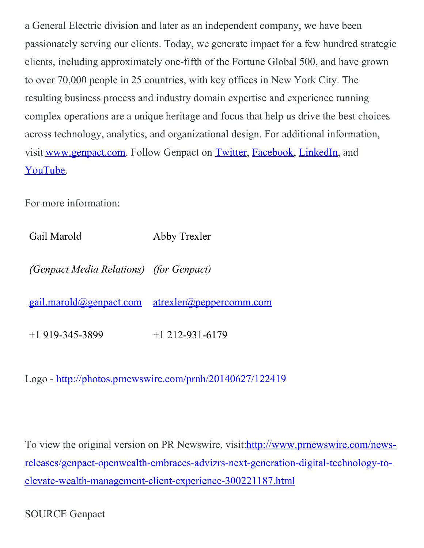a General Electric division and later as an independent company, we have been passionately serving our clients. Today, we generate impact for a few hundred strategic clients, including approximately one-fifth of the Fortune Global 500, and have grown to over 70,000 people in 25 countries, with key offices in New York City. The resulting business process and industry domain expertise and experience running complex operations are a unique heritage and focus that help us drive the best choices across technology, analytics, and organizational design. For additional information, visit [www.genpact.com](http://www.genpact.com/). Follow Genpact on [Twitter](https://twitter.com/genpact_ltd), [Facebook](http://www.facebook.com/pages/Genpact/105635026136729), [LinkedIn](http://www.linkedin.com/company/210064?trk=tyah), and [YouTube](https://www.youtube.com/user/GenpactLtd).

For more information:

Gail Marold Abby Trexler

*(Genpact Media Relations) (for Genpact)*

[gail.marold@genpact.com](mailto:gail.marold@genpact.com) [atrexler@peppercomm.com](mailto:atrexler@peppercomm.com)

+1 919-345-3899 +1 212-931-6179

Logo - <http://photos.prnewswire.com/prnh/20140627/122419>

To view the original version on PR Newswire, visit: http://www.prnewswire.com/news[releases/genpact-openwealth-embraces-advizrs-next-generation-digital-technology-to](http://www.prnewswire.com/news-releases/genpact-openwealth-embraces-advizrs-next-generation-digital-technology-to-elevate-wealth-management-client-experience-300221187.html)elevate-wealth-management-client-experience-300221187.html

SOURCE Genpact